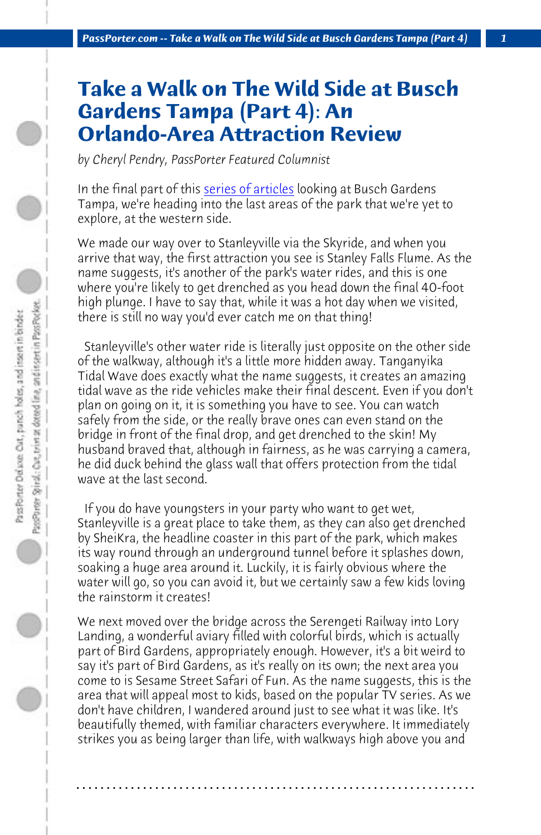*PassPorter.com -- Take a Walk on The Wild Side at Busch Gardens Tampa (Part 4) 1*

## **Take a Walk on The Wild Side at Busch Gardens Tampa (Part 4): An Orlando-Area Attraction Review**

*by Cheryl Pendry, PassPorter Featured Columnist*

In the final part of this series of articles looking at Busch Gardens Tampa, we're heading into the last areas of the park that we're yet to explore, at the western side.

We made our way over to Stanleyville via the Skyride, and when you arrive that way, the first attraction you see is Stanley Falls Flume. As the name suggests, it's another of the park's water rides, and this is one where you're likely to get drenched as you head down the final 40-foot high plunge. I have to say that, while it was a hot day when we visited, there is still no way you'd ever catch me on that thing!

 Stanleyville's other water ride is literally just opposite on the other side of the walkway, although it's a little more hidden away. Tanganyika Tidal Wave does exactly what the name suggests, it creates an amazing tidal wave as the ride vehicles make their final descent. Even if you don't plan on going on it, it is something you have to see. You can watch safely from the side, or the really brave ones can even stand on the bridge in front of the final drop, and get drenched to the skin! My husband braved that, although in fairness, as he was carrying a camera, he did duck behind the glass wall that offers protection from the tidal wave at the last second.

 If you do have youngsters in your party who want to get wet, Stanleyville is a great place to take them, as they can also get drenched by SheiKra, the headline coaster in this part of the park, which makes its way round through an underground tunnel before it splashes down, soaking a huge area around it. Luckily, it is fairly obvious where the water will go, so you can avoid it, but we certainly saw a few kids loving the rainstorm it creates!

We next moved over the bridge across the Serengeti Railway into Lory Landing, a wonderful aviary filled with colorful birds, which is actually part of Bird Gardens, appropriately enough. However, it's a bit weird to say it's part of Bird Gardens, as it's really on its own; the next area you come to is Sesame Street Safari of Fun. As the name suggests, this is the area that will appeal most to kids, based on the popular TV series. As we don't have children, I wandered around just to see what it was like. It's beautifully themed, with familiar characters everywhere. It immediately strikes you as being larger than life, with walkways high above you and

**. . . . . . . . . . . . . . . . . . . . . . . . . . . . . . . . . . . . . . . . . . . . . . . . . . . . . . . . . . . . . . . . . .**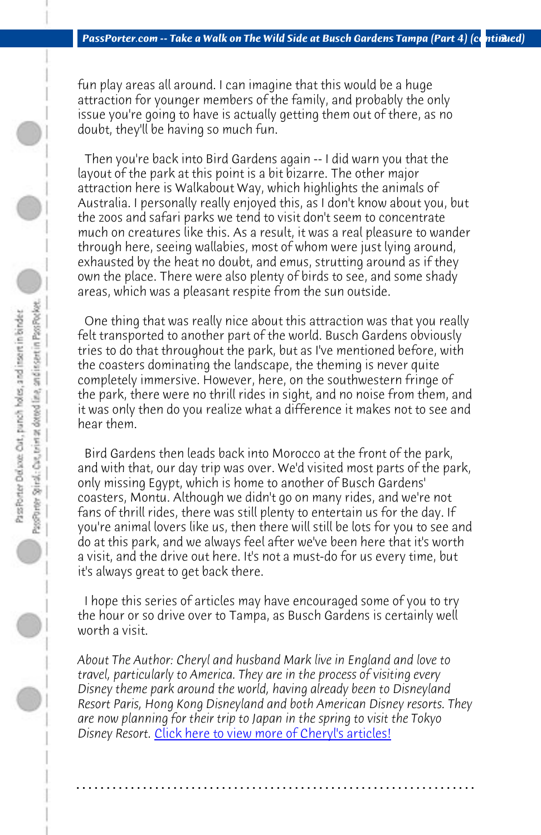*PassPorter.com -- Take a Walk on The Wild Side at Busch Gardens Tampa (Part 4) (continued)* 

fun play areas all around. I can imagine that this would be a huge attraction for younger members of the family, and probably the only issue you're going to have is actually getting them out of there, as no doubt, they'll be having so much fun.

 Then you're back into Bird Gardens again -- I did warn you that the layout of the park at this point is a bit bizarre. The other major attraction here is Walkabout Way, which highlights the animals of Australia. I personally really enjoyed this, as I don't know about you, but the zoos and safari parks we tend to visit don't seem to concentrate much on creatures like this. As a result, it was a real pleasure to wander through here, seeing wallabies, most of whom were just lying around, exhausted by the heat no doubt, and emus, strutting around as if they own the place. There were also plenty of birds to see, and some shady areas, which was a pleasant respite from the sun outside.

 One thing that was really nice about this attraction was that you really felt transported to another part of the world. Busch Gardens obviously tries to do that throughout the park, but as I've mentioned before, with the coasters dominating the landscape, the theming is never quite completely immersive. However, here, on the southwestern fringe of the park, there were no thrill rides in sight, and no noise from them, and it was only then do you realize what a difference it makes not to see and hear them.

 Bird Gardens then leads back into Morocco at the front of the park, and with that, our day trip was over. We'd visited most parts of the park, only missing [Egypt, which is home to another of Busch Ga](http://www.passporter.com/articles/cheryl-pendry-featured-columnist.asp)rdens' coasters, Montu. Although we didn't go on many rides, and we're not fans of thrill rides, there was still plenty to entertain us for the day. If you're animal lovers like us, then there will still be lots for you to see and do at this park, and we always feel after we've been here that it's worth a visit, and the drive out here. It's not a must-do for us every time, but it's always great to get back there.

 I hope this series of articles may have encouraged some of you to try the hour or so drive over to Tampa, as Busch Gardens is certainly well worth a visit.

*About The Author: Cheryl and husband Mark live in England and love to travel, particularly to America. They are in the process of visiting every Disney theme park around the world, having already been to Disneyland Resort Paris, Hong Kong Disneyland and both American Disney resorts. They are now planning for their trip to Japan in the spring to visit the Tokyo Disney Resort.* Click here to view more of Cheryl's articles!

**. . . . . . . . . . . . . . . . . . . . . . . . . . . . . . . . . . . . . . . . . . . . . . . . . . . . . . . . . . . . . . . . . .**